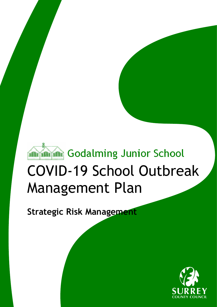

# COVID-19 School Outbreak Management Plan

**Strategic Risk Management** 

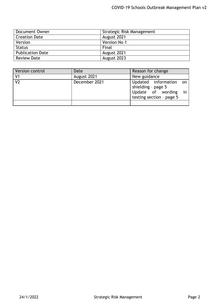| Document Owner          | Strategic Risk Management |  |
|-------------------------|---------------------------|--|
| <b>Creation Date</b>    | August 2021               |  |
| Version                 | Version No 1              |  |
| <b>Status</b>           | Final                     |  |
| <b>Publication Date</b> | August 2021               |  |
| <b>Review Date</b>      | August 2023               |  |

| Version control | Date          | Reason for change                                                                                |
|-----------------|---------------|--------------------------------------------------------------------------------------------------|
| V <sub>1</sub>  | August 2021   | New guidance                                                                                     |
| V <sub>2</sub>  | December 2021 | Updated information on<br>shielding - page 5<br>Update of wording in<br>testing section - page 5 |
|                 |               |                                                                                                  |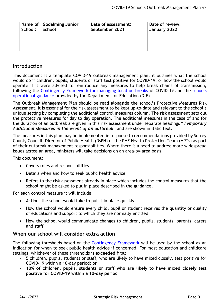| School: | Name of Godalming Junior | Date of assessment: | Date of review: |
|---------|--------------------------|---------------------|-----------------|
|         | School                   | September 2021      | January 2022    |
|         |                          |                     |                 |

# **Introduction**

This document is a template COVID-19 outbreak management plan, it outlines what the school would do if children, pupils, students or staff test positive for COVID-19, or how the school would operate if it were advised to reintroduce any measures to help break chains of transmission, following the [Contingency Framework for managing local outbreaks](https://www.gov.uk/government/publications/coronavirus-covid-19-local-restrictions-in-education-and-childcare-settings) of COVID-19 and the [schools](https://www.gov.uk/government/publications/actions-for-schools-during-the-coronavirus-outbreak)  [operational guidance](https://www.gov.uk/government/publications/actions-for-schools-during-the-coronavirus-outbreak) provided by the Department for Education (DfE).

The Outbreak Management Plan should be read alongside the school's Protective Measures Risk Assessment. It is essential for the risk assessment to be kept up-to-date and relevant to the school's unique setting by completing the additional control measures column. The risk assessment sets out the protective measures for day to day operation. The additional measures in the case of and for the duration of an outbreak are given in this risk assessment under separate headings "*Temporary Additional Measures in the event of an outbreak*" and are shown in italic text.

The measures in this plan may be implemented in response to recommendations provided by Surrey County Council, Director of Public Health (DsPH) or the PHE Health Protection Team (HPTs) as part of their outbreak management responsibilities. Where there is a need to address more widespread issues across an area, ministers will take decisions on an area-by-area basis.

This document:

- Covers roles and responsibilities
- Details when and how to seek public health advice
- Refers to the risk assessment already in place which includes the control measures that the school might be asked to put in place described in the guidance.

For each control measure it will include:

- Actions the school would take to put it in place quickly
- How the school would ensure every child, pupil or student receives the quantity or quality of educations and support to which they are normally entitled
- How the school would communicate changes to children, pupils, students, parents, carers and staff

## **When our school will consider extra action**

The following thresholds based on the [Contingency Framework](https://www.gov.uk/government/publications/coronavirus-covid-19-local-restrictions-in-education-and-childcare-settings) will be used by the school as an indication for when to seek public health advice if concerned. For most education and childcare settings, whichever of these thresholds is **exceeded** first:

- 5 children, pupils, students or staff, who are likely to have mixed closely, test positive for COVID-19 within a 10-day period; or
- **10% of children, pupils, students or staff who are likely to have mixed closely test positive for COVID-19 within a 10-day period**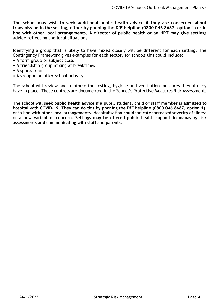**The school may wish to seek additional public health advice if they are concerned about transmission in the setting, either by phoning the DfE helpline (0800 046 8687, option 1) or in line with other local arrangements. A director of public health or an HPT may give settings advice reflecting the local situation.**

Identifying a group that is likely to have mixed closely will be different for each setting. The Contingency Framework gives examples for each sector, for schools this could include:

- A form group or subject class
- A friendship group mixing at breaktimes
- A sports team
- A group in an after-school activity

The school will review and reinforce the testing, hygiene and ventilation measures they already have in place. These controls are documented in the School's Protective Measures Risk Assessment.

**The school will seek public health advice if a pupil, student, child or staff member is admitted to hospital with COVID-19. They can do this by phoning the DfE helpline (0800 046 8687, option 1), or in line with other local arrangements. Hospitalisation could indicate increased severity of illness or a new variant of concern. Settings may be offered public health support in managing risk assessments and communicating with staff and parents.**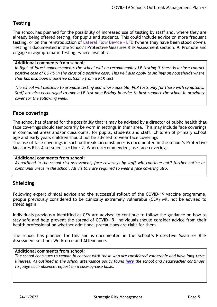# **Testing**

The school has planned for the possibility of increased use of testing by staff and, where they are already being offered testing, for pupils and students. This could include advice on more frequent testing, or on the reintroduction of Lateral Flow Device - LFD (where they have been stood down). Testing is documented in the School's Protective Measures Risk Assessment section: 9. Promote and engage in asymptomatic testing, where available.

#### **Additional comments from school:**

*In light of latest announcements the school will be recommending LF testing if there is a close contact positive case of COVID in the class of a positive case. This will also apply to siblings on households where that has also been a positive outcome from a PCR test.*

*The school will continue to promote testing and where possible, PCR tests only for those with symptoms. Staff are also encouraged to take a LF test on a Friday in order to best support the school in providing cover for the following week.* 

# **Face coverings**

The school has planned for the possibility that it may be advised by a director of public health that face coverings should temporarily be worn in settings in their area. This may include face coverings in communal areas and/or classrooms, for pupils, students and staff. Children of primary school age and early years children should not be advised to wear face coverings

The use of face coverings in such outbreak circumstances is documented in the school's Protective Measures Risk Assessment section: 2. Where recommended, use face coverings.

#### **Additional comments from school:**

*As outlined in the school risk assessment, face coverings by staff will continue until further notice in communal areas in the school. All visitors are required to wear a face covering also.*

# **Shielding**

Following expert clinical advice and the successful rollout of the COVID-19 vaccine programme, people previously considered to be clinically extremely vulnerable (CEV) will not be advised to shield again.

Individuals previously identified as CEV are advised to continue to follow the guidance on [how to](https://www.gov.uk/guidance/covid-19-coronavirus-restrictions-what-you-can-and-cannot-do)  [stay safe and help prevent the spread of COVID-19.](https://www.gov.uk/guidance/covid-19-coronavirus-restrictions-what-you-can-and-cannot-do) Individuals should consider advice from their health professional on whether additional precautions are right for them.

The school has planned for this and is documented in the School's Protective Measures Risk Assessment section: Workforce and Attendance.

#### **Additional comments from school:**

*The school continues to remain in contact with those who are considered vulnerable and have long-term illnesses. As outlined in the school attendance policy found [here](http://www.godalming-junior.surrey.sch.uk/website/policies/35613) the school and headteacher continues to judge each absence request on a case-by-case basis.*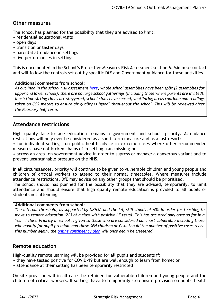# **Other measures**

The school has planned for the possibility that they are advised to limit:

- residential educational visits
- open days
- transition or taster days
- parental attendance in settings
- live performances in settings

This is documented in the School's Protective Measures Risk Assessment section 6. Minimise contact and will follow the controls set out by specific DfE and Government guidance for these activities.

## **Additional comments from school:**

*As outlined in the school risk assessment [here,](http://www.godalming-junior.surrey.sch.uk/website/coronavirus_covid-19/455482) whole school assemblies have been split (2 assemblies for upper and lower school), there are no large school gatherings (including those where parents are invited), lunch time sitting times are staggered, school clubs have ceased, ventilating areas continue and readings taken on CO2 meters to ensure air quality is 'good' throughout the school. This will be reviewed after the February half term.*

# **Attendance restrictions**

High quality face-to-face education remains a government and schools priority. Attendance restrictions will only ever be considered as a short-term measure and as a last resort:

• for individual settings, on public health advice in extreme cases where other recommended measures have not broken chains of in-setting transmission; or

• across an area, on government advice in order to supress or manage a dangerous variant and to prevent unsustainable pressure on the NHS.

In all circumstances, priority will continue to be given to vulnerable children and young people and children of critical workers to attend to their normal timetables. Where measures include attendance restrictions, DfE may advise on any other groups that should be prioritised. The school should has planned for the possibility that they are advised, temporarily, to limit

attendance and should ensure that high quality remote education is provided to all pupils or students not attending.

## **Additional comments from school:**

*The internal threshold, as supported by UKHSA and the LA, still stands at 60% in order for teaching to move to remote education (2/3 of a class with positive LF tests). This has occurred only once so far in a Year 4 class. Priority in school is given to those who are considered our most vulnerable including those who qualify for pupil premium and those SEN children or CLA. Should the number of positive cases reach this number again, the [online contingency plan](http://www.godalming-junior.surrey.sch.uk/website/coronavirus_covid-19/455482) will once again be triggered.*

## **Remote education**

High-quality remote learning will be provided for all pupils and students if:

- they have tested positive for COVID-19 but are well enough to learn from home; or
- attendance at their setting has been temporarily restricted

On-site provision will in all cases be retained for vulnerable children and young people and the children of critical workers. If settings have to temporarily stop onsite provision on public health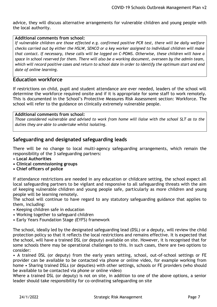advice, they will discuss alternative arrangements for vulnerable children and young people with the local authority.

#### **Additional comments from school:**

*If vulnerable children are those effected e.g. confirmed positive PCR test, there will be daily welfare checks carried out by either the HSLW, SENCO or a key worker assigned to individual children will make that contact. If necessary, these calls will be logged on C-POMS. Otherwise, these children will have a space in school reserved for them. There will also be a working document, overseen by the admin team, which will record positive cases and return to school date in order to identify the optimum start and end date of online learning.* 

### **Education workforce**

If restrictions on child, pupil and student attendance are ever needed, leaders of the school will determine the workforce required onsite and if it is appropriate for some staff to work remotely. This is documented in the School's Protective Measures Risk Assessment section: Workforce. The school will refer to the guidance on clinically extremely vulnerable people.

#### **Additional comments from school:**

*Those considered vulnerable and advised to work from home will liaise with the school SLT as to the duties they are able to undertake whilst isolating.* 

## **Safeguarding and designated safeguarding leads**

There will be no change to local multi-agency safeguarding arrangements, which remain the responsibility of the 3 safeguarding partners:

- **Local Authorities**
- **Clinical commissioning groups**
- **Chief officers of police**

If attendance restrictions are needed in any education or childcare setting, the school expect all local safeguarding partners to be vigilant and responsive to all safeguarding threats with the aim of keeping vulnerable children and young people safe, particularly as more children and young people will be learning remotely.

The school will continue to have regard to any statutory safeguarding guidance that applies to them, including:

- Keeping children safe in education
- Working together to safeguard children
- Early Years Foundation Stage (EYFS) framework

The school, ideally led by the designated safeguarding lead (DSL) or a deputy, will review the child protection policy so that it reflects the local restrictions and remains effective. It is expected that the school, will have a trained DSL (or deputy) available on site. However, it is recognised that for some schools there may be operational challenges to this. In such cases, there are two options to consider:

• A trained DSL (or deputy) from the early years setting, school, out-of-school settings or FE provider can be available to be contacted via phone or online video, for example working from home • Sharing trained DSLs (or deputies) with other settings, schools or FE providers (who should be available to be contacted via phone or online video)

Where a trained DSL (or deputy) is not on site, in addition to one of the above options, a senior leader should take responsibility for co-ordinating safeguarding on site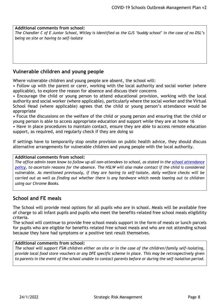**Additional comments from school:** *The Chandler C of E Junior School, Witley is identified as the GJS 'buddy school' in the case of no DSL's being on site or having to self-isolate*

# **Vulnerable children and young people**

Where vulnerable children and young people are absent, the school will:

• Follow up with the parent or carer, working with the local authority and social worker (where applicable), to explore the reason for absence and discuss their concerns

• Encourage the child or young person to attend educational provision, working with the local authority and social worker (where applicable), particularly where the social worker and the Virtual School Head (where applicable) agrees that the child or young person's attendance would be appropriate

• Focus the discussions on the welfare of the child or young person and ensuring that the child or young person is able to access appropriate education and support while they are at home 16

• Have in place procedures to maintain contact, ensure they are able to access remote education support, as required, and regularly check if they are doing so

If settings have to temporarily stop onsite provision on public health advice, they should discuss alternative arrangements for vulnerable children and young people with the local authority.

#### **Additional comments from school:**

*The office admin team know to follow up all non-attendees to school, as stated in the [school attendance](http://www.godalming-junior.surrey.sch.uk/website/policies/35613)  [policy,](http://www.godalming-junior.surrey.sch.uk/website/policies/35613) to ascertain reasons for the absence. The HSLW will also make contact if the child is considered vulnerable. As mentioned previously, if they are having to self-isolate, daily welfare checks will be carried out as well as finding out whether there is any hardware which needs loaning out to children using our Chrome Books.*

## **School and FE meals**

The School will provide meal options for all pupils who are in school. Meals will be available free of charge to all infant pupils and pupils who meet the benefits-related free school meals eligibility criteria.

The school will continue to provide free school meals support in the form of meals or lunch parcels for pupils who are eligible for benefits related free school meals and who are not attending school because they have had symptoms or a positive test result themselves.

#### **Additional comments from school:**

*The school will support FSM children either on site or in the case of the children/family self-isolating, provide local food store vouchers or any DFE specific scheme in place. This may be retrospectively given to parents in the event of the school unable to contact parents before or during the self-isolation period.*